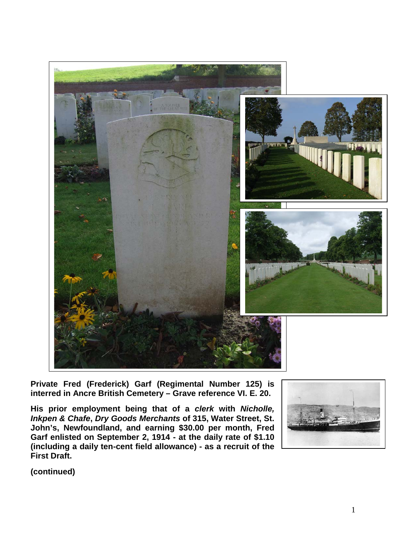

**Private Fred (Frederick) Garf (Regimental Number 125) is interred in Ancre British Cemetery – Grave reference VI. E. 20.** 

**His prior employment being that of a** *clerk* **with** *Nicholle, Inkpen & Chafe***,** *Dry Goods Merchants* **of 315, Water Street, St. John's, Newfoundland, and earning \$30.00 per month, Fred Garf enlisted on September 2, 1914 - at the daily rate of \$1.10 (including a daily ten-cent field allowance) - as a recruit of the First Draft.**

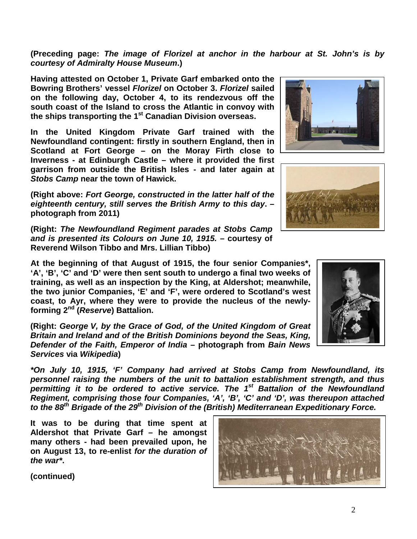**(Preceding page:** *The image of Florizel at anchor in the harbour at St. John's is by courtesy of Admiralty House Museum***.)**

**Having attested on October 1, Private Garf embarked onto the Bowring Brothers' vessel** *Florizel* **on October 3.** *Florizel* **sailed on the following day, October 4, to its rendezvous off the south coast of the Island to cross the Atlantic in convoy with the ships transporting the 1st Canadian Division overseas.**

**In the United Kingdom Private Garf trained with the Newfoundland contingent: firstly in southern England, then in Scotland at Fort George – on the Moray Firth close to Inverness - at Edinburgh Castle – where it provided the first garrison from outside the British Isles - and later again at**  *Stobs Camp* **near the town of Hawick.** 

**(Right above:** *Fort George, constructed in the latter half of the eighteenth century, still serves the British Army to this day***. – photograph from 2011)**

**(Right:** *The Newfoundland Regiment parades at Stobs Camp and is presented its Colours on June 10, 1915.* **– courtesy of Reverend Wilson Tibbo and Mrs. Lillian Tibbo)**

**At the beginning of that August of 1915, the four senior Companies\*, 'A', 'B', 'C' and 'D' were then sent south to undergo a final two weeks of training, as well as an inspection by the King, at Aldershot; meanwhile, the two junior Companies, 'E' and 'F', were ordered to Scotland's west coast, to Ayr, where they were to provide the nucleus of the newlyforming 2nd (***Reserve***) Battalion.**

**(Right:** *George V, by the Grace of God, of the United Kingdom of Great Britain and Ireland and of the British Dominions beyond the Seas, King, Defender of the Faith, Emperor of India* **– photograph from** *Bain News Services* **via** *Wikipedia***)**

*\*On July 10, 1915, 'F' Company had arrived at Stobs Camp from Newfoundland, its personnel raising the numbers of the unit to battalion establishment strength, and thus permitting it to be ordered to active service. The 1st Battalion of the Newfoundland Regiment, comprising those four Companies, 'A', 'B', 'C' and 'D', was thereupon attached to the 88th Brigade of the 29th Division of the (British) Mediterranean Expeditionary Force.*

**It was to be during that time spent at Aldershot that Private Garf – he amongst many others - had been prevailed upon, he on August 13, to re-enlist** *for the duration of the war\****.**







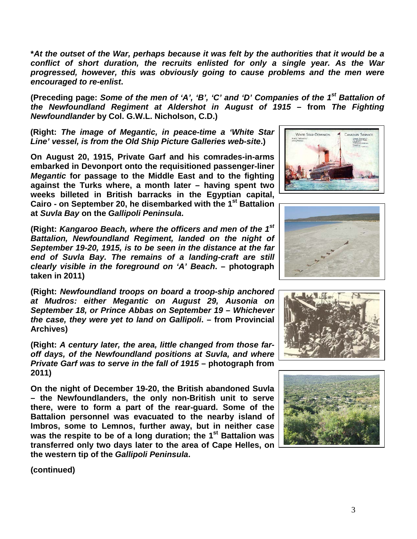**\****At the outset of the War, perhaps because it was felt by the authorities that it would be a conflict of short duration, the recruits enlisted for only a single year. As the War progressed, however, this was obviously going to cause problems and the men were encouraged to re-enlist***.**

**(Preceding page:** *Some of the men of 'A', 'B', 'C' and 'D' Companies of the 1st Battalion of the Newfoundland Regiment at Aldershot in August of 1915* **– from** *The Fighting Newfoundlander* **by Col. G.W.L. Nicholson, C.D.)**

**(Right:** *The image of Megantic, in peace-time a 'White Star Line' vessel, is from the Old Ship Picture Galleries web-site***.)**

**On August 20, 1915, Private Garf and his comrades-in-arms embarked in Devonport onto the requisitioned passenger-liner**  *Megantic* **for passage to the Middle East and to the fighting against the Turks where, a month later – having spent two weeks billeted in British barracks in the Egyptian capital, Cairo - on September 20, he disembarked with the 1st Battalion at** *Suvla Bay* **on the** *Gallipoli Peninsula***.** 

**(Right:** *Kangaroo Beach, where the officers and men of the 1st Battalion, Newfoundland Regiment, landed on the night of September 19-20, 1915, is to be seen in the distance at the far end of Suvla Bay. The remains of a landing-craft are still clearly visible in the foreground on 'A' Beach***. – photograph taken in 2011)**

**(Right:** *Newfoundland troops on board a troop-ship anchored at Mudros: either Megantic on August 29, Ausonia on September 18, or Prince Abbas on September 19 – Whichever the case, they were yet to land on Gallipoli***. – from Provincial Archives)**

**(Right:** *A century later, the area, little changed from those faroff days, of the Newfoundland positions at Suvla, and where Private Garf was to serve in the fall of 1915* **– photograph from 2011)**

**On the night of December 19-20, the British abandoned Suvla – the Newfoundlanders, the only non-British unit to serve there, were to form a part of the rear-guard. Some of the Battalion personnel was evacuated to the nearby island of Imbros, some to Lemnos, further away, but in neither case was the respite to be of a long duration; the 1st Battalion was transferred only two days later to the area of Cape Helles, on the western tip of the** *Gallipoli Peninsula***.**







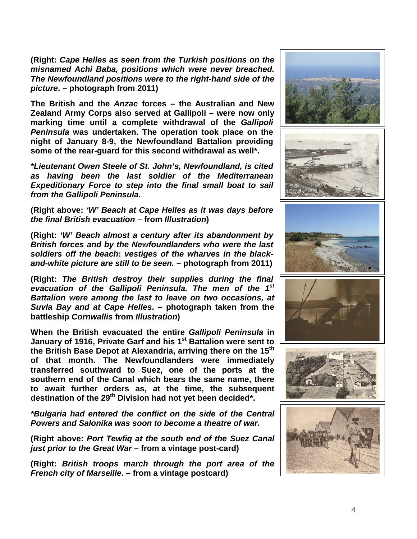**(Right:** *Cape Helles as seen from the Turkish positions on the misnamed Achi Baba, positions which were never breached. The Newfoundland positions were to the right-hand side of the picture***. – photograph from 2011)**

**The British and the** *Anzac* **forces – the Australian and New Zealand Army Corps also served at Gallipoli – were now only marking time until a complete withdrawal of the** *Gallipoli Peninsula* **was undertaken. The operation took place on the night of January 8-9, the Newfoundland Battalion providing some of the rear-guard for this second withdrawal as well\*.**

*\*Lieutenant Owen Steele of St. John's, Newfoundland, is cited as having been the last soldier of the Mediterranean Expeditionary Force to step into the final small boat to sail from the Gallipoli Peninsula.* 

**(Right above:** *'W' Beach at Cape Helles as it was days before the final British evacuation* **– from** *Illustration***)**

**(Right:** *'W' Beach almost a century after its abandonment by British forces and by the Newfoundlanders who were the last soldiers off the beach***:** *vestiges of the wharves in the blackand-white picture are still to be seen.* **– photograph from 2011)**

**(Right:** *The British destroy their supplies during the final evacuation of the Gallipoli Peninsula. The men of the 1st Battalion were among the last to leave on two occasions, at Suvla Bay and at Cape Helles***. – photograph taken from the battleship** *Cornwallis* **from** *Illustration***)**

**When the British evacuated the entire** *Gallipoli Peninsula* **in January of 1916, Private Garf and his 1st Battalion were sent to the British Base Depot at Alexandria, arriving there on the 15th of that month. The Newfoundlanders were immediately transferred southward to Suez, one of the ports at the southern end of the Canal which bears the same name, there to await further orders as, at the time, the subsequent**  destination of the 29<sup>th</sup> Division had not yet been decided\*.

*\*Bulgaria had entered the conflict on the side of the Central Powers and Salonika was soon to become a theatre of war.*

**(Right above:** *Port Tewfiq at the south end of the Suez Canal just prior to the Great War* **– from a vintage post-card)**

**(Right:** *British troops march through the port area of the French city of Marseille***. – from a vintage postcard)**

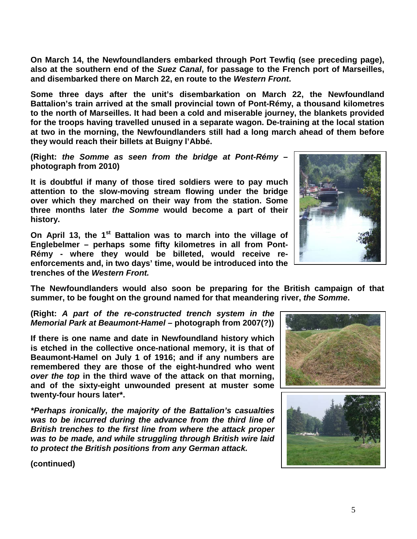**On March 14, the Newfoundlanders embarked through Port Tewfiq (see preceding page), also at the southern end of the** *Suez Canal***, for passage to the French port of Marseilles, and disembarked there on March 22, en route to the** *Western Front***.** 

**Some three days after the unit's disembarkation on March 22, the Newfoundland Battalion's train arrived at the small provincial town of Pont-Rémy, a thousand kilometres to the north of Marseilles. It had been a cold and miserable journey, the blankets provided for the troops having travelled unused in a separate wagon. De-training at the local station at two in the morning, the Newfoundlanders still had a long march ahead of them before they would reach their billets at Buigny l'Abbé.**

**(Right:** *the Somme as seen from the bridge at Pont-Rémy* **– photograph from 2010)**

**It is doubtful if many of those tired soldiers were to pay much attention to the slow-moving stream flowing under the bridge over which they marched on their way from the station. Some three months later** *the Somme* **would become a part of their history.**

**On April 13, the 1st Battalion was to march into the village of Englebelmer – perhaps some fifty kilometres in all from Pont-Rémy - where they would be billeted, would receive reenforcements and, in two days' time, would be introduced into the trenches of the** *Western Front.*



**(Right:** *A part of the re-constructed trench system in the Memorial Park at Beaumont-Hamel –* **photograph from 2007(?))**

**If there is one name and date in Newfoundland history which is etched in the collective once-national memory, it is that of Beaumont-Hamel on July 1 of 1916; and if any numbers are remembered they are those of the eight-hundred who went**  *over the top* **in the third wave of the attack on that morning, and of the sixty-eight unwounded present at muster some twenty-four hours later\*.**

*\*Perhaps ironically, the majority of the Battalion's casualties was to be incurred during the advance from the third line of British trenches to the first line from where the attack proper was to be made, and while struggling through British wire laid to protect the British positions from any German attack.*





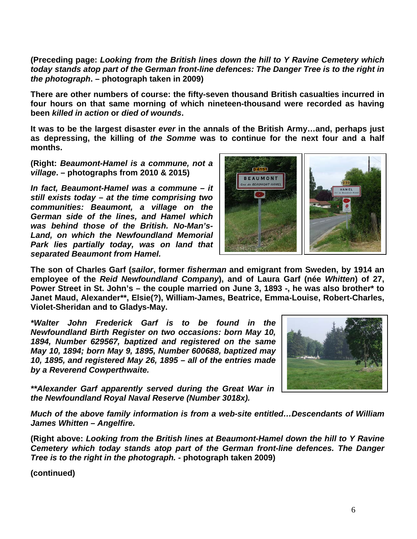**(Preceding page:** *Looking from the British lines down the hill to Y Ravine Cemetery which today stands atop part of the German front-line defences: The Danger Tree is to the right in the photograph***. – photograph taken in 2009)**

**There are other numbers of course: the fifty-seven thousand British casualties incurred in four hours on that same morning of which nineteen-thousand were recorded as having been** *killed in action* **or** *died of wounds***.** 

**It was to be the largest disaster** *ever* **in the annals of the British Army…and, perhaps just as depressing, the killing of** *the Somme* **was to continue for the next four and a half months.**

**(Right:** *Beaumont-Hamel is a commune, not a village***. – photographs from 2010 & 2015)**

*In fact, Beaumont-Hamel was a commune – it still exists today – at the time comprising two communities: Beaumont, a village on the German side of the lines, and Hamel which was behind those of the British. No-Man's-Land, on which the Newfoundland Memorial Park lies partially today, was on land that separated Beaumont from Hamel.* 



**The son of Charles Garf (***sailor***, former** *fisherman* **and emigrant from Sweden, by 1914 an employee of the** *Reid Newfoundland Company***), and of Laura Garf (née** *Whitten***) of 27, Power Street in St. John's – the couple married on June 3, 1893 -, he was also brother\* to Janet Maud, Alexander\*\*, Elsie(?), William-James, Beatrice, Emma-Louise, Robert-Charles, Violet-Sheridan and to Gladys-May.**

*\*Walter John Frederick Garf is to be found in the Newfoundland Birth Register on two occasions: born May 10, 1894, Number 629567, baptized and registered on the same May 10, 1894; born May 9, 1895, Number 600688, baptized may 10, 1895, and registered May 26, 1895 – all of the entries made by a Reverend Cowperthwaite.*



*\*\*Alexander Garf apparently served during the Great War in the Newfoundland Royal Naval Reserve (Number 3018x).*

*Much of the above family information is from a web-site entitled…Descendants of William James Whitten – Angelfire.*

**(Right above:** *Looking from the British lines at Beaumont-Hamel down the hill to Y Ravine Cemetery which today stands atop part of the German front-line defences. The Danger Tree is to the right in the photograph. -* **photograph taken 2009)**